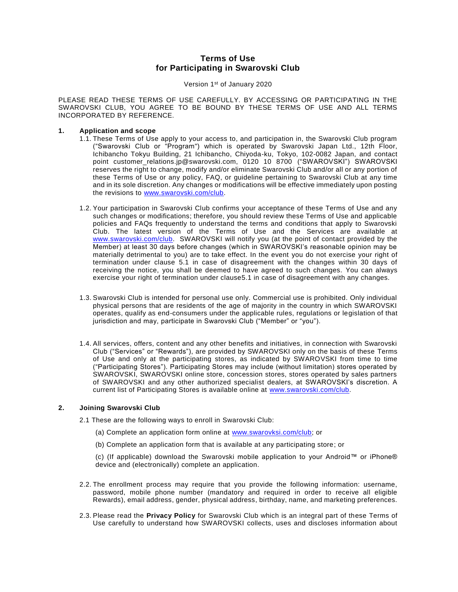# **Terms of Use for Participating in Swarovski Club**

Version 1st of January 2020

PLEASE READ THESE TERMS OF USE CAREFULLY. BY ACCESSING OR PARTICIPATING IN THE SWAROVSKI CLUB, YOU AGREE TO BE BOUND BY THESE TERMS OF USE AND ALL TERMS INCORPORATED BY REFERENCE.

## **1. Application and scope**

- 1.1. These Terms of Use apply to your access to, and participation in, the Swarovski Club program ("Swarovski Club or "Program") which is operated by Swarovski Japan Ltd., 12th Floor, Ichibancho Tokyu Building, 21 Ichibancho, Chiyoda-ku, Tokyo, 102-0082 Japan, and contact point customer\_relations.jp@swarovski.com, 0120 10 8700 ("SWAROVSKI") SWAROVSKI reserves the right to change, modify and/or eliminate Swarovski Club and/or all or any portion of these Terms of Use or any policy, FAQ, or guideline pertaining to Swarovski Club at any time and in its sole discretion. Any changes or modifications will be effective immediately upon posting the revisions to [www.swarovski.com/club.](http://www.swarovski.com/club)
- 1.2. Your participation in Swarovski Club confirms your acceptance of these Terms of Use and any such changes or modifications; therefore, you should review these Terms of Use and applicable policies and FAQs frequently to understand the terms and conditions that apply to Swarovski Club. The latest version of the Terms of Use and the Services are available at [www.swarovski.com/club.](http://www.swarovski.com/club) SWAROVSKI will notify you (at the point of contact provided by the Member) at least 30 days before changes (which in SWAROVSKI's reasonable opinion may be materially detrimental to you) are to take effect. In the event you do not exercise your right of termination under clause 5.1 in case of disagreement with the changes within 30 days of receiving the notice, you shall be deemed to have agreed to such changes. You can always exercise your right of termination under clause5.1 in case of disagreement with any changes.
- 1.3. Swarovski Club is intended for personal use only. Commercial use is prohibited. Only individual physical persons that are residents of the age of majority in the country in which SWAROVSKI operates, qualify as end-consumers under the applicable rules, regulations or legislation of that jurisdiction and may, participate in Swarovski Club ("Member" or "you").
- 1.4. All services, offers, content and any other benefits and initiatives, in connection with Swarovski Club ("Services" or "Rewards"), are provided by SWAROVSKI only on the basis of these Terms of Use and only at the participating stores, as indicated by SWAROVSKI from time to time ("Participating Stores"). Participating Stores may include (without limitation) stores operated by SWAROVSKI, SWAROVSKI online store, concession stores, stores operated by sales partners of SWAROVSKI and any other authorized specialist dealers, at SWAROVSKI's discretion. A current list of Participating Stores is available online at [www.swarovski.com/club.](http://www.swarovski.com/club)

## **2. Joining Swarovski Club**

2.1 These are the following ways to enroll in Swarovski Club:

- (a) Complete an application form online at [www.swarovksi.com/club;](http://www.swarovksi.com/beswarovski) or
- (b) Complete an application form that is available at any participating store; or

(c) (If applicable) download the Swarovski mobile application to your Android™ or iPhone® device and (electronically) complete an application.

- 2.2. The enrollment process may require that you provide the following information: username, password, mobile phone number (mandatory and required in order to receive all eligible Rewards), email address, gender, physical address, birthday, name, and marketing preferences.
- 2.3. Please read the **Privacy Policy** for Swarovski Club which is an integral part of these Terms of Use carefully to understand how SWAROVSKI collects, uses and discloses information about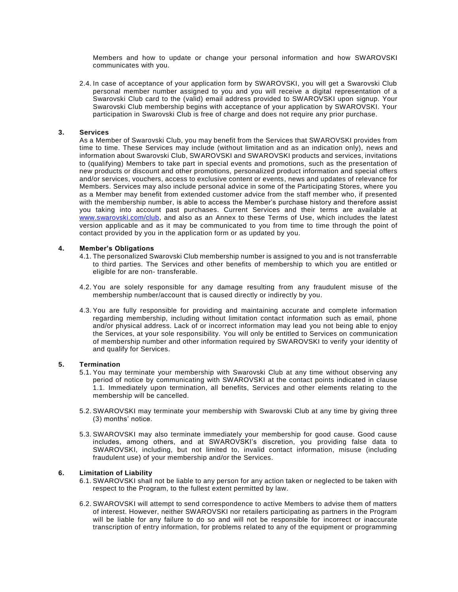Members and how to update or change your personal information and how SWAROVSKI communicates with you.

2.4. In case of acceptance of your application form by SWAROVSKI, you will get a Swarovski Club personal member number assigned to you and you will receive a digital representation of a Swarovski Club card to the (valid) email address provided to SWAROVSKI upon signup. Your Swarovski Club membership begins with acceptance of your application by SWAROVSKI. Your participation in Swarovski Club is free of charge and does not require any prior purchase.

### **3. Services**

As a Member of Swarovski Club, you may benefit from the Services that SWAROVSKI provides from time to time. These Services may include (without limitation and as an indication only), news and information about Swarovski Club, SWAROVSKI and SWAROVSKI products and services, invitations to (qualifying) Members to take part in special events and promotions, such as the presentation of new products or discount and other promotions, personalized product information and special offers and/or services, vouchers, access to exclusive content or events, news and updates of relevance for Members. Services may also include personal advice in some of the Participating Stores, where you as a Member may benefit from extended customer advice from the staff member who, if presented with the membership number, is able to access the Member's purchase history and therefore assist you taking into account past purchases. Current Services and their terms are available at [www.swarovski.com/club,](http://www.swarovski.com/clubi) and also as an Annex to these Terms of Use, which includes the latest version applicable and as it may be communicated to you from time to time through the point of contact provided by you in the application form or as updated by you.

### **4. Member's Obligations**

- 4.1. The personalized Swarovski Club membership number is assigned to you and is not transferrable to third parties. The Services and other benefits of membership to which you are entitled or eligible for are non- transferable.
- 4.2. You are solely responsible for any damage resulting from any fraudulent misuse of the membership number/account that is caused directly or indirectly by you.
- 4.3. You are fully responsible for providing and maintaining accurate and complete information regarding membership, including without limitation contact information such as email, phone and/or physical address. Lack of or incorrect information may lead you not being able to enjoy the Services, at your sole responsibility. You will only be entitled to Services on communication of membership number and other information required by SWAROVSKI to verify your identity of and qualify for Services.

#### **5. Termination**

- 5.1. You may terminate your membership with Swarovski Club at any time without observing any period of notice by communicating with SWAROVSKI at the contact points indicated in clause 1.1. Immediately upon termination, all benefits, Services and other elements relating to the membership will be cancelled.
- 5.2. SWAROVSKI may terminate your membership with Swarovski Club at any time by giving three (3) months' notice.
- 5.3. SWAROVSKI may also terminate immediately your membership for good cause. Good cause includes, among others, and at SWAROVSKI's discretion, you providing false data to SWAROVSKI, including, but not limited to, invalid contact information, misuse (including fraudulent use) of your membership and/or the Services.

#### **6. Limitation of Liability**

- 6.1. SWAROVSKI shall not be liable to any person for any action taken or neglected to be taken with respect to the Program, to the fullest extent permitted by law.
- 6.2. SWAROVSKI will attempt to send correspondence to active Members to advise them of matters of interest. However, neither SWAROVSKI nor retailers participating as partners in the Program will be liable for any failure to do so and will not be responsible for incorrect or inaccurate transcription of entry information, for problems related to any of the equipment or programming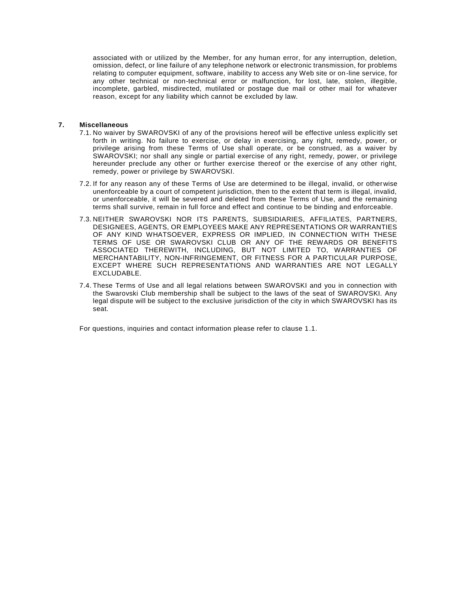associated with or utilized by the Member, for any human error, for any interruption, deletion, omission, defect, or line failure of any telephone network or electronic transmission, for problems relating to computer equipment, software, inability to access any Web site or on-line service, for any other technical or non-technical error or malfunction, for lost, late, stolen, illegible, incomplete, garbled, misdirected, mutilated or postage due mail or other mail for whatever reason, except for any liability which cannot be excluded by law.

## **7. Miscellaneous**

- 7.1. No waiver by SWAROVSKI of any of the provisions hereof will be effective unless explicitly set forth in writing. No failure to exercise, or delay in exercising, any right, remedy, power, or privilege arising from these Terms of Use shall operate, or be construed, as a waiver by SWAROVSKI; nor shall any single or partial exercise of any right, remedy, power, or privilege hereunder preclude any other or further exercise thereof or the exercise of any other right, remedy, power or privilege by SWAROVSKI.
- 7.2. If for any reason any of these Terms of Use are determined to be illegal, invalid, or otherwise unenforceable by a court of competent jurisdiction, then to the extent that term is illegal, invalid, or unenforceable, it will be severed and deleted from these Terms of Use, and the remaining terms shall survive, remain in full force and effect and continue to be binding and enforceable.
- 7.3. NEITHER SWAROVSKI NOR ITS PARENTS, SUBSIDIARIES, AFFILIATES, PARTNERS, DESIGNEES, AGENTS, OR EMPLOYEES MAKE ANY REPRESENTATIONS OR WARRANTIES OF ANY KIND WHATSOEVER, EXPRESS OR IMPLIED, IN CONNECTION WITH THESE TERMS OF USE OR SWAROVSKI CLUB OR ANY OF THE REWARDS OR BENEFITS ASSOCIATED THEREWITH, INCLUDING, BUT NOT LIMITED TO, WARRANTIES OF MERCHANTABILITY, NON-INFRINGEMENT, OR FITNESS FOR A PARTICULAR PURPOSE, EXCEPT WHERE SUCH REPRESENTATIONS AND WARRANTIES ARE NOT LEGALLY EXCLUDABLE.
- 7.4. These Terms of Use and all legal relations between SWAROVSKI and you in connection with the Swarovski Club membership shall be subject to the laws of the seat of SWAROVSKI. Any legal dispute will be subject to the exclusive jurisdiction of the city in which SWAROVSKI has its seat.

For questions, inquiries and contact information please refer to clause 1.1.